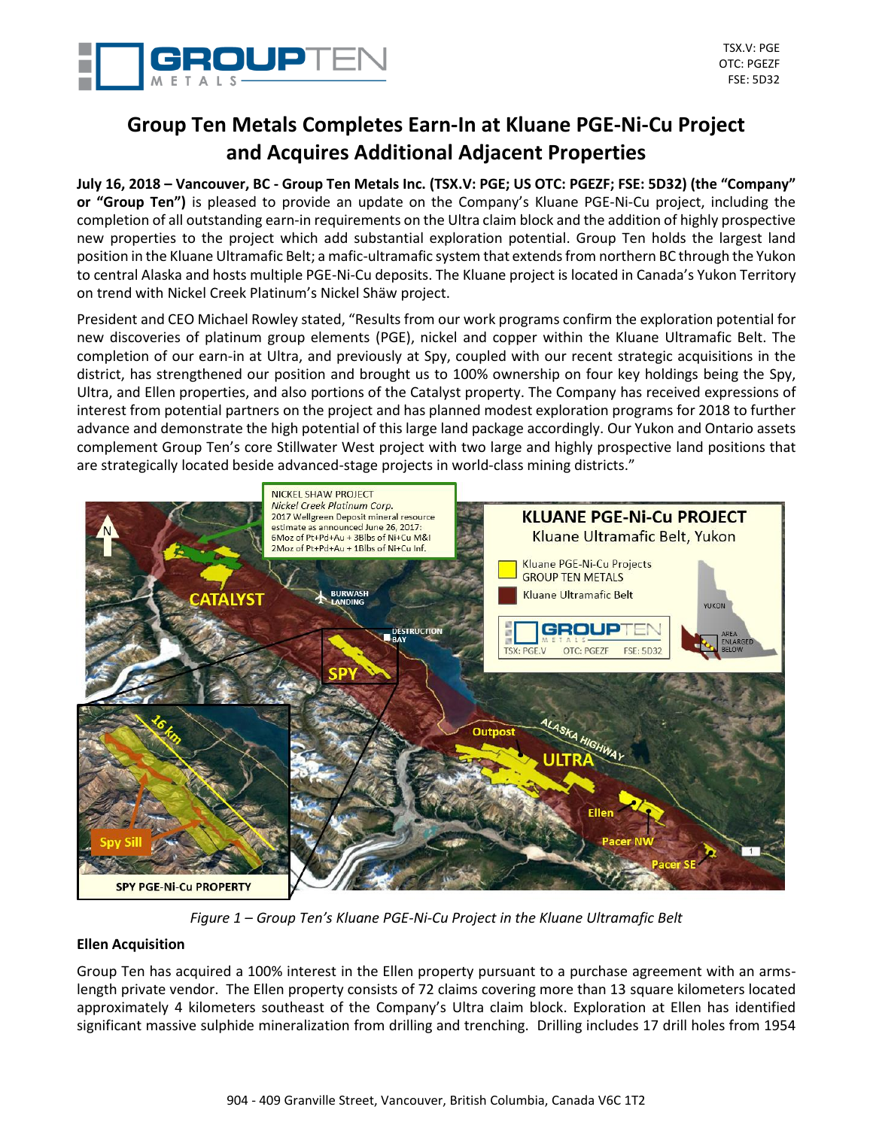

# **Group Ten Metals Completes Earn-In at Kluane PGE-Ni-Cu Project and Acquires Additional Adjacent Properties**

**July 16, 2018 – Vancouver, BC - Group Ten Metals Inc. (TSX.V: PGE; US OTC: PGEZF; FSE: 5D32) (the "Company" or "Group Ten")** is pleased to provide an update on the Company's Kluane PGE-Ni-Cu project, including the completion of all outstanding earn-in requirements on the Ultra claim block and the addition of highly prospective new properties to the project which add substantial exploration potential. Group Ten holds the largest land position in the Kluane Ultramafic Belt; a mafic-ultramafic system that extends from northern BC through the Yukon to central Alaska and hosts multiple PGE-Ni-Cu deposits. The Kluane project is located in Canada's Yukon Territory on trend with Nickel Creek Platinum's Nickel Shäw project.

President and CEO Michael Rowley stated, "Results from our work programs confirm the exploration potential for new discoveries of platinum group elements (PGE), nickel and copper within the Kluane Ultramafic Belt. The completion of our earn-in at Ultra, and previously at Spy, coupled with our recent strategic acquisitions in the district, has strengthened our position and brought us to 100% ownership on four key holdings being the Spy, Ultra, and Ellen properties, and also portions of the Catalyst property. The Company has received expressions of interest from potential partners on the project and has planned modest exploration programs for 2018 to further advance and demonstrate the high potential of this large land package accordingly. Our Yukon and Ontario assets complement Group Ten's core Stillwater West project with two large and highly prospective land positions that are strategically located beside advanced-stage projects in world-class mining districts."



*Figure 1 – Group Ten's Kluane PGE-Ni-Cu Project in the Kluane Ultramafic Belt*

## **Ellen Acquisition**

Group Ten has acquired a 100% interest in the Ellen property pursuant to a purchase agreement with an armslength private vendor. The Ellen property consists of 72 claims covering more than 13 square kilometers located approximately 4 kilometers southeast of the Company's Ultra claim block. Exploration at Ellen has identified significant massive sulphide mineralization from drilling and trenching. Drilling includes 17 drill holes from 1954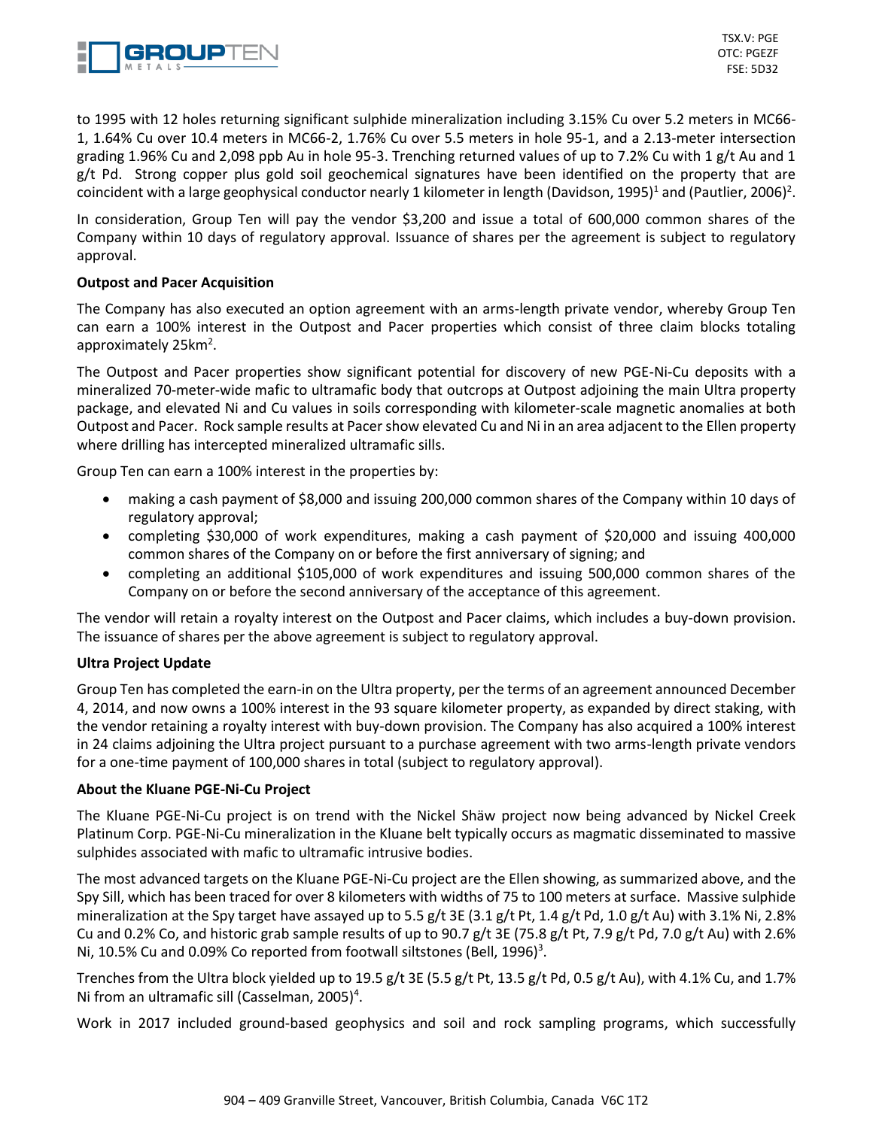

to 1995 with 12 holes returning significant sulphide mineralization including 3.15% Cu over 5.2 meters in MC66- 1, 1.64% Cu over 10.4 meters in MC66-2, 1.76% Cu over 5.5 meters in hole 95-1, and a 2.13-meter intersection grading 1.96% Cu and 2,098 ppb Au in hole 95-3. Trenching returned values of up to 7.2% Cu with 1 g/t Au and 1 g/t Pd. Strong copper plus gold soil geochemical signatures have been identified on the property that are coincident with a large geophysical conductor nearly 1 kilometer in length (Davidson, 1995)<sup>1</sup> and (Pautlier, 2006)<sup>2</sup>.

In consideration, Group Ten will pay the vendor \$3,200 and issue a total of 600,000 common shares of the Company within 10 days of regulatory approval. Issuance of shares per the agreement is subject to regulatory approval.

## **Outpost and Pacer Acquisition**

The Company has also executed an option agreement with an arms-length private vendor, whereby Group Ten can earn a 100% interest in the Outpost and Pacer properties which consist of three claim blocks totaling approximately 25km<sup>2</sup>.

The Outpost and Pacer properties show significant potential for discovery of new PGE-Ni-Cu deposits with a mineralized 70-meter-wide mafic to ultramafic body that outcrops at Outpost adjoining the main Ultra property package, and elevated Ni and Cu values in soils corresponding with kilometer-scale magnetic anomalies at both Outpost and Pacer. Rock sample results at Pacer show elevated Cu and Ni in an area adjacent to the Ellen property where drilling has intercepted mineralized ultramafic sills.

Group Ten can earn a 100% interest in the properties by:

- making a cash payment of \$8,000 and issuing 200,000 common shares of the Company within 10 days of regulatory approval;
- completing \$30,000 of work expenditures, making a cash payment of \$20,000 and issuing 400,000 common shares of the Company on or before the first anniversary of signing; and
- completing an additional \$105,000 of work expenditures and issuing 500,000 common shares of the Company on or before the second anniversary of the acceptance of this agreement.

The vendor will retain a royalty interest on the Outpost and Pacer claims, which includes a buy-down provision. The issuance of shares per the above agreement is subject to regulatory approval.

## **Ultra Project Update**

Group Ten has completed the earn-in on the Ultra property, per the terms of an agreement announced December 4, 2014, and now owns a 100% interest in the 93 square kilometer property, as expanded by direct staking, with the vendor retaining a royalty interest with buy-down provision. The Company has also acquired a 100% interest in 24 claims adjoining the Ultra project pursuant to a purchase agreement with two arms-length private vendors for a one-time payment of 100,000 shares in total (subject to regulatory approval).

#### **About the Kluane PGE-Ni-Cu Project**

The Kluane PGE-Ni-Cu project is on trend with the Nickel Shäw project now being advanced by Nickel Creek Platinum Corp. PGE-Ni-Cu mineralization in the Kluane belt typically occurs as magmatic disseminated to massive sulphides associated with mafic to ultramafic intrusive bodies.

The most advanced targets on the Kluane PGE-Ni-Cu project are the Ellen showing, as summarized above, and the Spy Sill, which has been traced for over 8 kilometers with widths of 75 to 100 meters at surface. Massive sulphide mineralization at the Spy target have assayed up to 5.5 g/t 3E (3.1 g/t Pt, 1.4 g/t Pd, 1.0 g/t Au) with 3.1% Ni, 2.8% Cu and 0.2% Co, and historic grab sample results of up to 90.7 g/t 3E (75.8 g/t Pt, 7.9 g/t Pd, 7.0 g/t Au) with 2.6% Ni, 10.5% Cu and 0.09% Co reported from footwall siltstones (Bell, 1996)<sup>3</sup>.

Trenches from the Ultra block yielded up to 19.5 g/t 3E (5.5 g/t Pt, 13.5 g/t Pd, 0.5 g/t Au), with 4.1% Cu, and 1.7% Ni from an ultramafic sill (Casselman, 2005)<sup>4</sup>.

Work in 2017 included ground-based geophysics and soil and rock sampling programs, which successfully